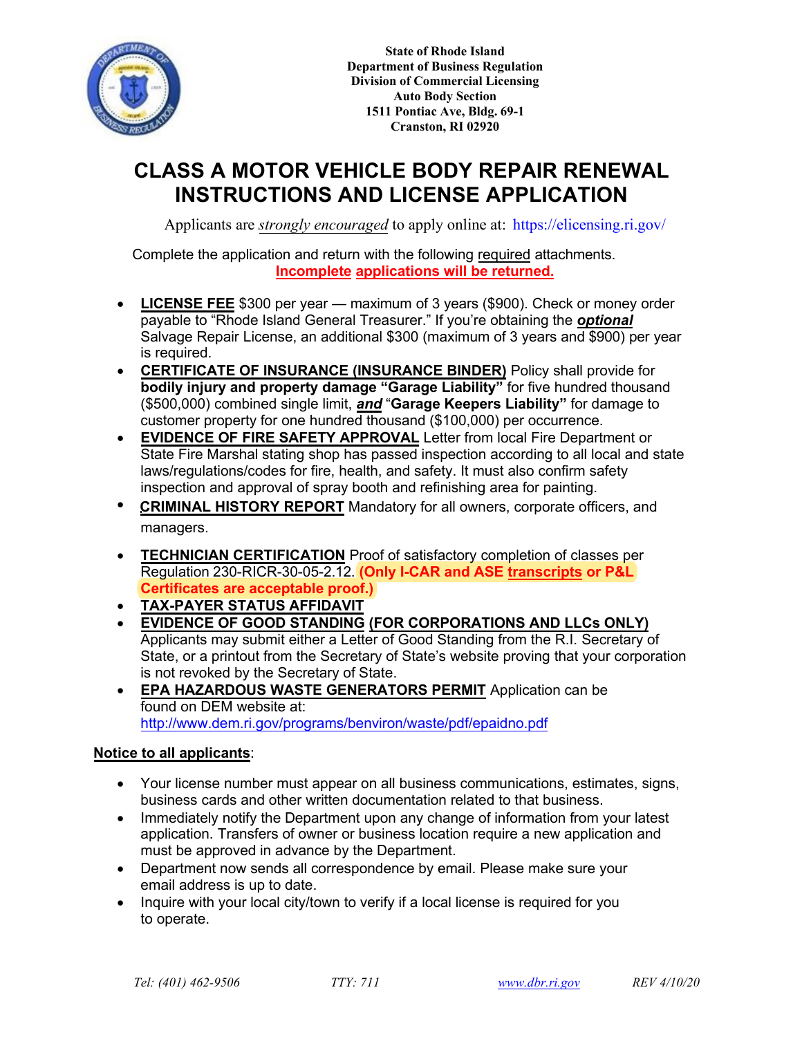

**State of Rhode Island Department of Business Regulation Division of Commercial Licensing Auto Body Section 1511 Pontiac Ave, Bldg. 69-1 Cranston, RI 02920**

# **CLASS A MOTOR VEHICLE BODY REPAIR RENEWAL INSTRUCTIONS AND LICENSE APPLICATION**

Applicants are *strongly encouraged* to apply online at: https://elicensing.ri.gov/

Complete the application and return with the following required attachments. **Incomplete applications will be returned.**

- **LICENSE FEE** \$300 per year maximum of 3 years (\$900). Check or money order payable to "Rhode Island General Treasurer." If you're obtaining the *optional* Salvage Repair License, an additional \$300 (maximum of 3 years and \$900) per year is required.
- **CERTIFICATE OF INSURANCE (INSURANCE BINDER)** Policy shall provide for **bodily injury and property damage "Garage Liability"** for five hundred thousand (\$500,000) combined single limit, *and* "**Garage Keepers Liability"** for damage to customer property for one hundred thousand (\$100,000) per occurrence.
- **EVIDENCE OF FIRE SAFETY APPROVAL** Letter from local Fire Department or State Fire Marshal stating shop has passed inspection according to all local and state laws/regulations/codes for fire, health, and safety. It must also confirm safety inspection and approval of spray booth and refinishing area for painting.
- **CRIMINAL HISTORY REPORT** Mandatory for all owners, corporate officers, and managers.
- **TECHNICIAN CERTIFICATION** Proof of satisfactory completion of classes per Regulation 230-RICR-30-05-2.12. **(Only I-CAR and ASE transcripts or P&L Certificates are acceptable proof.)**
- **TAX-PAYER STATUS AFFIDAVIT**
- **EVIDENCE OF GOOD STANDING (FOR CORPORATIONS AND LLCs ONLY)** Applicants may submit either a Letter of Good Standing from the R.I. Secretary of State, or a printout from the Secretary of State's website proving that your corporation is not revoked by the Secretary of State.
- **EPA HAZARDOUS WASTE GENERATORS PERMIT** Application can be found on DEM website at: http://www.dem.ri.gov/programs/benviron/waste/pdf/epaidno.pdf

### **Notice to all applicants**:

- Your license number must appear on all business communications, estimates, signs, business cards and other written documentation related to that business.
- Immediately notify the Department upon any change of information from your latest application. Transfers of owner or business location require a new application and must be approved in advance by the Department.
- Department now sends all correspondence by email. Please make sure your email address is up to date.
- Inquire with your local city/town to verify if a local license is required for you to operate.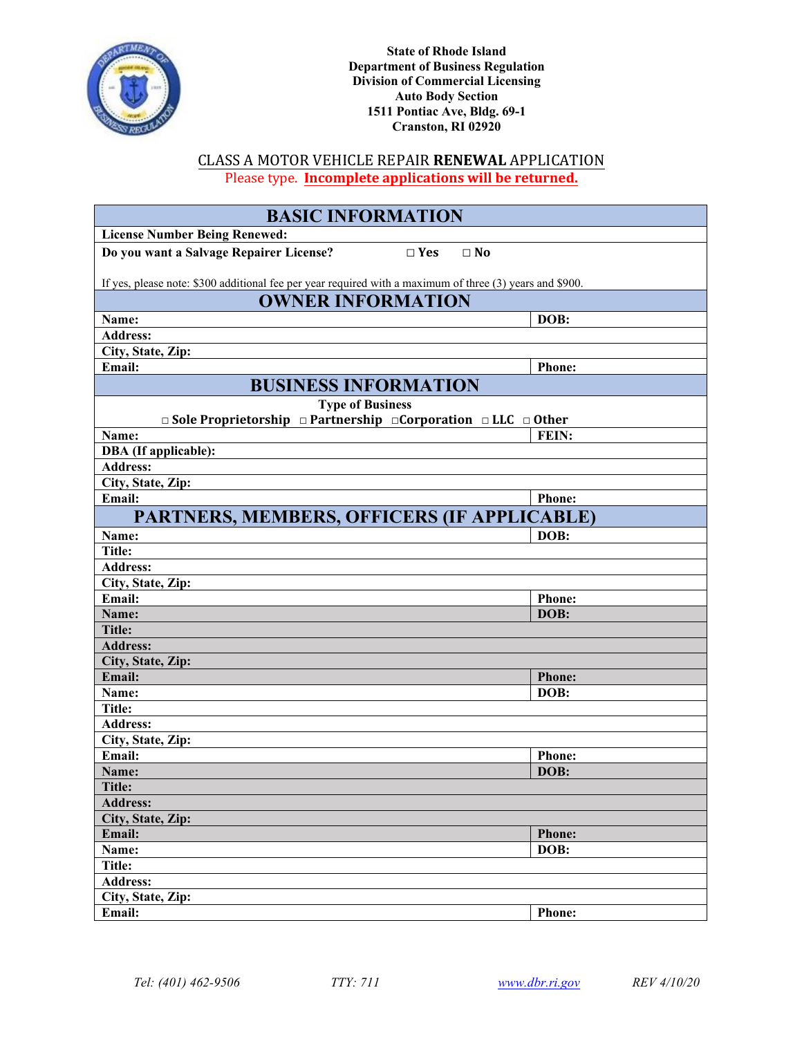

CLASS A MOTOR VEHICLE REPAIR **RENEWAL** APPLICATION Please type. **Incomplete applications will be returned.**

| <b>BASIC INFORMATION</b>                                                                                 |                       |  |  |
|----------------------------------------------------------------------------------------------------------|-----------------------|--|--|
| <b>License Number Being Renewed:</b>                                                                     |                       |  |  |
| Do you want a Salvage Repairer License?<br>$\square$ Yes<br>$\Box$ No                                    |                       |  |  |
| If yes, please note: \$300 additional fee per year required with a maximum of three (3) years and \$900. |                       |  |  |
| <b>OWNER INFORMATION</b>                                                                                 |                       |  |  |
| Name:                                                                                                    | DOB:                  |  |  |
| <b>Address:</b>                                                                                          |                       |  |  |
| City, State, Zip:                                                                                        |                       |  |  |
| Email:                                                                                                   | <b>Phone:</b>         |  |  |
| <b>BUSINESS INFORMATION</b>                                                                              |                       |  |  |
| <b>Type of Business</b>                                                                                  |                       |  |  |
| $\Box$ Sole Proprietorship $\Box$ Partnership $\Box$ Corporation $\Box$ LLC $\Box$ Other                 |                       |  |  |
| Name:                                                                                                    | FEIN:                 |  |  |
| <b>DBA</b> (If applicable):                                                                              |                       |  |  |
| <b>Address:</b>                                                                                          |                       |  |  |
| City, State, Zip:<br>Email:                                                                              | <b>Phone:</b>         |  |  |
|                                                                                                          |                       |  |  |
| PARTNERS, MEMBERS, OFFICERS (IF APPLICABLE)                                                              |                       |  |  |
| Name:                                                                                                    | DOB:                  |  |  |
| <b>Title:</b>                                                                                            |                       |  |  |
| <b>Address:</b>                                                                                          |                       |  |  |
| City, State, Zip:<br>Email:                                                                              |                       |  |  |
| Name:                                                                                                    | <b>Phone:</b><br>DOB: |  |  |
| <b>Title:</b>                                                                                            |                       |  |  |
| <b>Address:</b>                                                                                          |                       |  |  |
| City, State, Zip:                                                                                        |                       |  |  |
| Email:                                                                                                   | <b>Phone:</b>         |  |  |
| Name:                                                                                                    | DOB:                  |  |  |
| Title:                                                                                                   |                       |  |  |
| <b>Address:</b>                                                                                          |                       |  |  |
| City, State, Zip:                                                                                        |                       |  |  |
| Email:                                                                                                   | <b>Phone:</b>         |  |  |
| Name:                                                                                                    | DOB:                  |  |  |
| Title:                                                                                                   |                       |  |  |
| <b>Address:</b>                                                                                          |                       |  |  |
| City, State, Zip:                                                                                        |                       |  |  |
| Email:                                                                                                   | <b>Phone:</b>         |  |  |
| Name:                                                                                                    | DOB:                  |  |  |
| <b>Title:</b>                                                                                            |                       |  |  |
| <b>Address:</b>                                                                                          |                       |  |  |
| City, State, Zip:                                                                                        |                       |  |  |
| Email:                                                                                                   | <b>Phone:</b>         |  |  |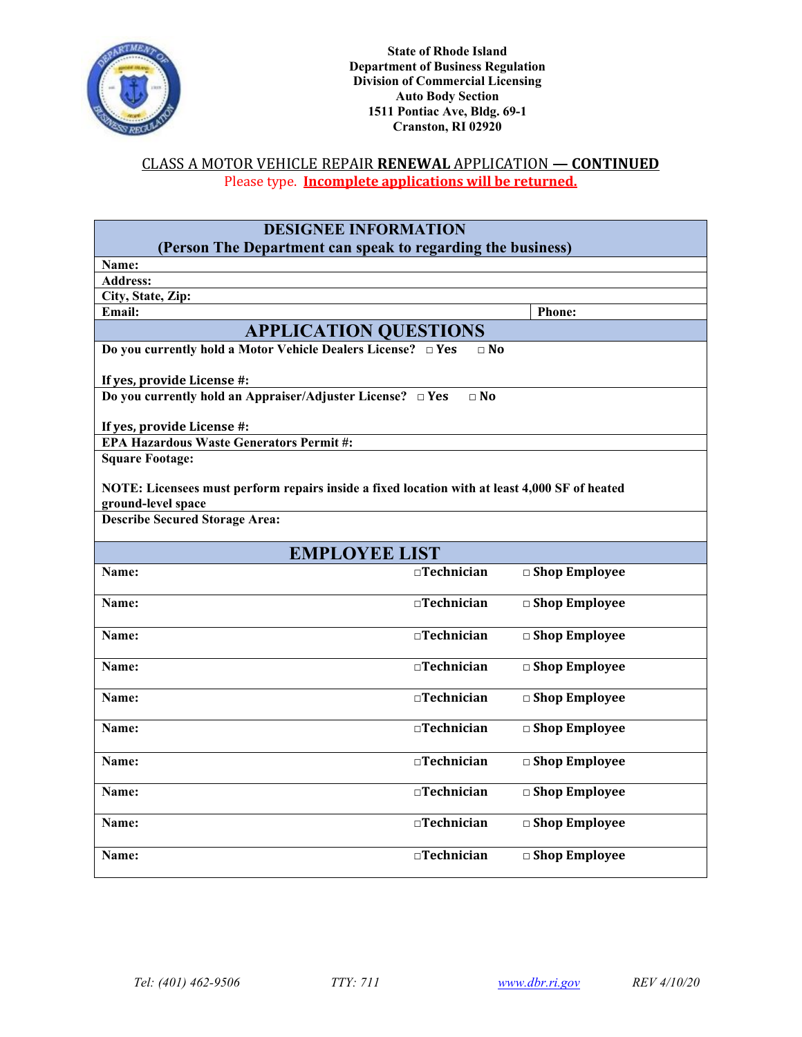

### CLASS A MOTOR VEHICLE REPAIR **RENEWAL** APPLICATION **— CONTINUED** Please type. **Incomplete applications will be returned.**

| <b>DESIGNEE INFORMATION</b> |
|-----------------------------|
|-----------------------------|

| (Person The Department can speak to regarding the business)                                   |                   |                         |  |  |
|-----------------------------------------------------------------------------------------------|-------------------|-------------------------|--|--|
| Name:                                                                                         |                   |                         |  |  |
| <b>Address:</b>                                                                               |                   |                         |  |  |
| City, State, Zip:                                                                             |                   |                         |  |  |
| Email:                                                                                        |                   | <b>Phone:</b>           |  |  |
| <b>APPLICATION QUESTIONS</b>                                                                  |                   |                         |  |  |
| Do you currently hold a Motor Vehicle Dealers License? □ Yes                                  | $\Box$ No         |                         |  |  |
| If yes, provide License #:                                                                    |                   |                         |  |  |
| Do you currently hold an Appraiser/Adjuster License? DYes                                     | $\Box$ No         |                         |  |  |
|                                                                                               |                   |                         |  |  |
| If yes, provide License #:<br><b>EPA Hazardous Waste Generators Permit#:</b>                  |                   |                         |  |  |
| <b>Square Footage:</b>                                                                        |                   |                         |  |  |
|                                                                                               |                   |                         |  |  |
| NOTE: Licensees must perform repairs inside a fixed location with at least 4,000 SF of heated |                   |                         |  |  |
| ground-level space                                                                            |                   |                         |  |  |
| <b>Describe Secured Storage Area:</b>                                                         |                   |                         |  |  |
|                                                                                               |                   |                         |  |  |
| <b>EMPLOYEE LIST</b>                                                                          |                   |                         |  |  |
| Name:                                                                                         | $\Box$ Technician | $\Box$ Shop Employee    |  |  |
| Name:                                                                                         | $\Box$ Technician | $\Box$ Shop Employee    |  |  |
| Name:                                                                                         | $\Box$ Technician | $\Box$ Shop Employee    |  |  |
|                                                                                               |                   |                         |  |  |
| Name:                                                                                         | $\Box$ Technician | $\Box$ Shop Employee    |  |  |
| Name:                                                                                         | $\Box$ Technician | $\Box$ Shop Employee    |  |  |
|                                                                                               |                   |                         |  |  |
| Name:                                                                                         | $\Box$ Technician | □ Shop Employee         |  |  |
|                                                                                               |                   |                         |  |  |
| Name:                                                                                         | □Technician       | □ Shop Employee         |  |  |
|                                                                                               |                   |                         |  |  |
| Name:                                                                                         | $\Box$ Technician | $\square$ Shop Employee |  |  |
| Name:                                                                                         | $\Box$ Technician | $\Box$ Shop Employee    |  |  |
|                                                                                               |                   |                         |  |  |
| Name:                                                                                         | $\Box$ Technician | $\Box$ Shop Employee    |  |  |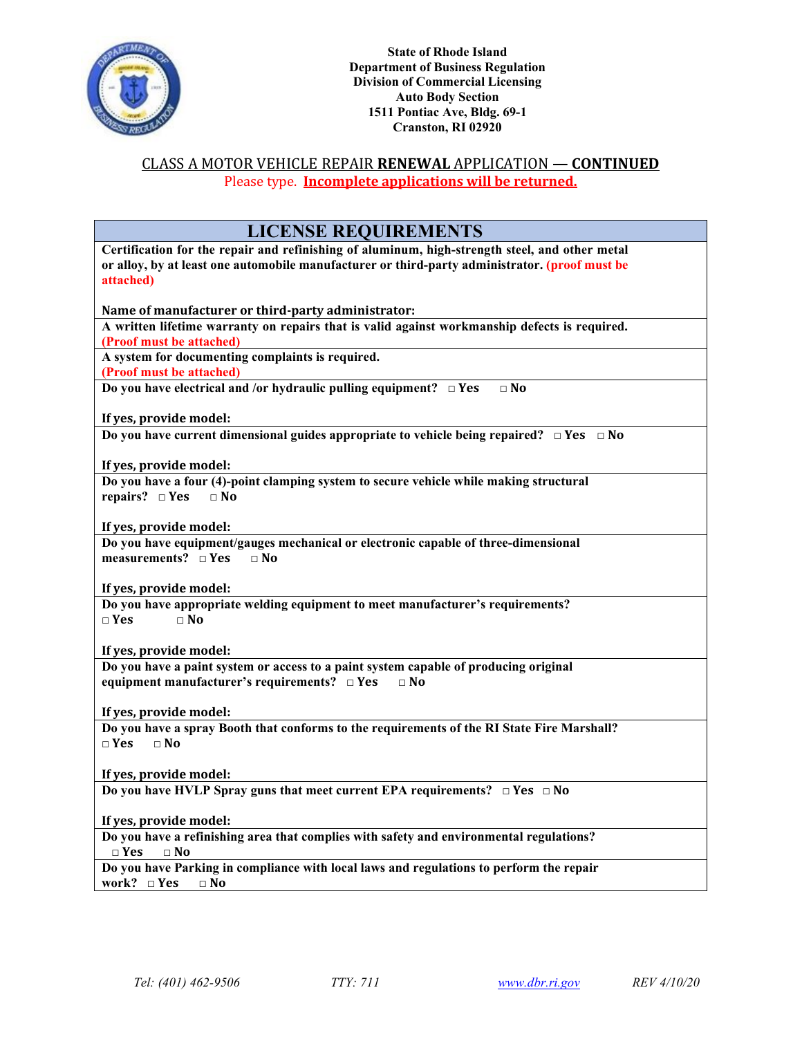

### CLASS A MOTOR VEHICLE REPAIR **RENEWAL** APPLICATION **— CONTINUED** Please type. **Incomplete applications will be returned.**

| <b>LICENSE REQUIREMENTS</b>                                                                        |
|----------------------------------------------------------------------------------------------------|
| Certification for the repair and refinishing of aluminum, high-strength steel, and other metal     |
| or alloy, by at least one automobile manufacturer or third-party administrator. (proof must be     |
| attached)                                                                                          |
|                                                                                                    |
| Name of manufacturer or third-party administrator:                                                 |
| A written lifetime warranty on repairs that is valid against workmanship defects is required.      |
| (Proof must be attached)                                                                           |
| A system for documenting complaints is required.                                                   |
| (Proof must be attached)                                                                           |
| Do you have electrical and /or hydraulic pulling equipment? $\Box$ Yes<br>$\Box$ No                |
|                                                                                                    |
| If yes, provide model:                                                                             |
| Do you have current dimensional guides appropriate to vehicle being repaired? $\Box$ Yes $\Box$ No |
|                                                                                                    |
| If yes, provide model:                                                                             |
| Do you have a four (4)-point clamping system to secure vehicle while making structural             |
| repairs? $\square$ Yes<br>$\Box$ No                                                                |
|                                                                                                    |
| If yes, provide model:                                                                             |
| Do you have equipment/gauges mechanical or electronic capable of three-dimensional                 |
| measurements? $\Box$ Yes<br>$\Box$ No                                                              |
|                                                                                                    |
| If yes, provide model:                                                                             |
| Do you have appropriate welding equipment to meet manufacturer's requirements?                     |
| $\Box$ Yes<br>$\Box$ No                                                                            |
|                                                                                                    |
| If yes, provide model:                                                                             |
| Do you have a paint system or access to a paint system capable of producing original               |
| equipment manufacturer's requirements? $\Box$ Yes<br>$\Box$ No                                     |
|                                                                                                    |
| If yes, provide model:                                                                             |
| Do you have a spray Booth that conforms to the requirements of the RI State Fire Marshall?         |
| $\Box$ Yes<br>$\Box$ No                                                                            |
|                                                                                                    |
| If yes, provide model:                                                                             |
| Do you have HVLP Spray guns that meet current EPA requirements? $\Box$ Yes $\Box$ No               |
|                                                                                                    |
| If yes, provide model:                                                                             |
| Do you have a refinishing area that complies with safety and environmental regulations?            |
| $\Box$ Yes<br>$\Box$ No                                                                            |
| Do you have Parking in compliance with local laws and regulations to perform the repair            |
| work? $\square$ Yes<br>$\square$ No                                                                |